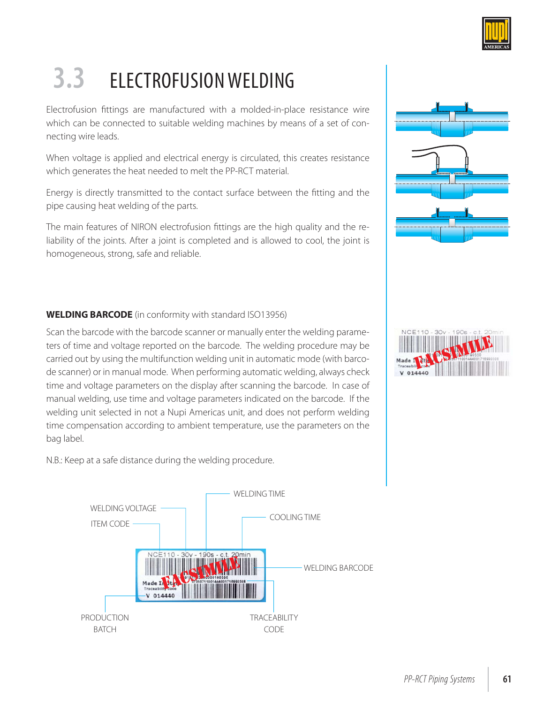

## **3.3** ELECTROFUSION WELDING

Electrofusion fittings are manufactured with a molded-in-place resistance wire which can be connected to suitable welding machines by means of a set of connecting wire leads.

When voltage is applied and electrical energy is circulated, this creates resistance which generates the heat needed to melt the PP-RCT material.

Energy is directly transmitted to the contact surface between the fitting and the pipe causing heat welding of the parts.

The main features of NIRON electrofusion fittings are the high quality and the reliability of the joints. After a joint is completed and is allowed to cool, the joint is homogeneous, strong, safe and reliable.



Scan the barcode with the barcode scanner or manually enter the welding parameters of time and voltage reported on the barcode. The welding procedure may be carried out by using the multifunction welding unit in automatic mode (with barcode scanner) or in manual mode. When performing automatic welding, always check time and voltage parameters on the display after scanning the barcode. In case of manual welding, use time and voltage parameters indicated on the barcode. If the welding unit selected in not a Nupi Americas unit, and does not perform welding time compensation according to ambient temperature, use the parameters on the bag label.

N.B.: Keep at a safe distance during the welding procedure.





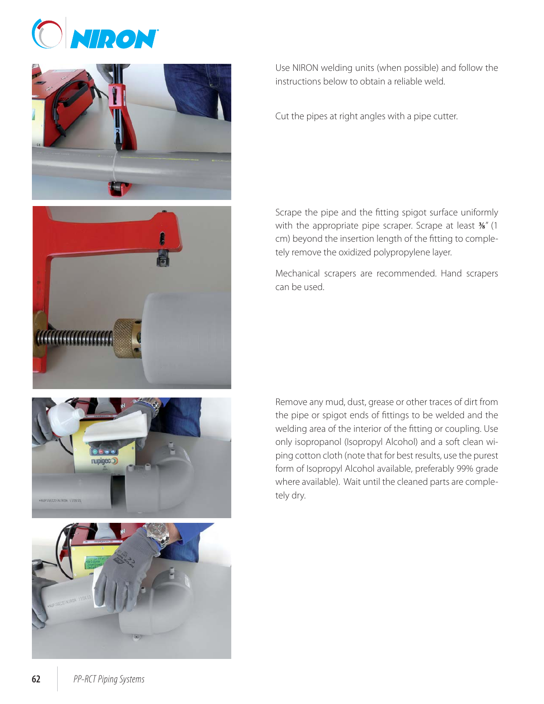









Use NIRON welding units (when possible) and follow the instructions below to obtain a reliable weld.

Cut the pipes at right angles with a pipe cutter.

Scrape the pipe and the fitting spigot surface uniformly with the appropriate pipe scraper. Scrape at least **⅜**" (1 cm) beyond the insertion length of the fitting to completely remove the oxidized polypropylene layer.

Mechanical scrapers are recommended. Hand scrapers can be used.

Remove any mud, dust, grease or other traces of dirt from the pipe or spigot ends of fittings to be welded and the welding area of the interior of the fitting or coupling. Use only isopropanol (Isopropyl Alcohol) and a soft clean wiping cotton cloth (note that for best results, use the purest form of Isopropyl Alcohol available, preferably 99% grade where available). Wait until the cleaned parts are completely dry.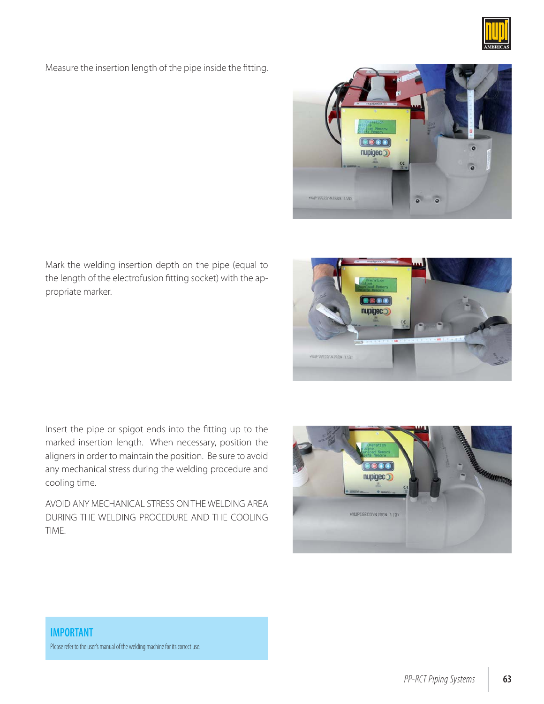

Measure the insertion length of the pipe inside the fitting.



 $\bullet\bullet\bullet$ nupigeco

Mark the welding insertion depth on the pipe (equal to the length of the electrofusion fitting socket) with the appropriate marker.



AVOID ANY MECHANICAL STRESS ON THE WELDING AREA DURING THE WELDING PROCEDURE AND THE COOLING TIME.